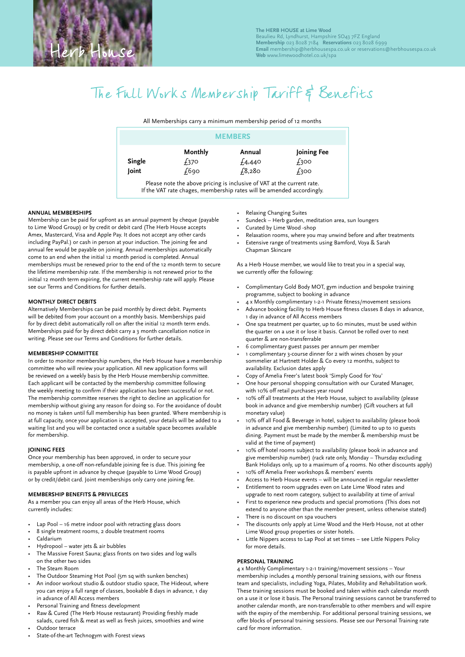# The Full Works Membership Tariff & Benefits

All Memberships carry a minimum membership period of 12 months

|        | <b>MEMBERS</b> |        |             |
|--------|----------------|--------|-------------|
|        | Monthly        | Annual | Joining Fee |
| Single | £370           | £4,440 | £300        |
| Joint  | £690           | f3,280 | £300        |

Please note the above pricing is inclusive of VAT at the current rate. If the VAT rate chages, membership rates will be amended accordingly.

### **ANNUAL MEMBERSHIPS**

Membership can be paid for upfront as an annual payment by cheque (payable to Lime Wood Group) or by credit or debit card (The Herb House accepts Amex, Mastercard, Visa and Apple Pay. It does not accept any other cards including PayPal.) or cash in person at your induction. The joining fee and annual fee would be payable on joining. Annual memberships automatically come to an end when the initial 12 month period is completed. Annual memberships must be renewed prior to the end of the 12 month term to secure the lifetime membership rate. If the membership is not renewed prior to the initial 12 month term expiring, the current membership rate will apply. Please see our Terms and Conditions for further details.

#### **MONTHLY DIRECT DEBITS**

Alternatively Memberships can be paid monthly by direct debit. Payments will be debited from your account on a monthly basis. Memberships paid for by direct debit automatically roll on after the initial 12 month term ends. Memberships paid for by direct debit carry a 3 month cancellation notice in writing. Please see our Terms and Conditions for further details.

## **MEMBERSHIP COMMITTEE**

In order to monitor membership numbers, the Herb House have a membership committee who will review your application. All new application forms will be reviewed on a weekly basis by the Herb House membership committee. Each applicant will be contacted by the membership committee following the weekly meeting to confirm if their application has been successful or not. The membership committee reserves the right to decline an application for membership without giving any reason for doing so. For the avoidance of doubt no money is taken until full membership has been granted. Where membership is at full capacity, once your application is accepted, your details will be added to a waiting list and you will be contacted once a suitable space becomes available for membership.

### **JOINING FEES**

Once your membership has been approved, in order to secure your membership, a one-off non-refundable joining fee is due. This joining fee is payable upfront in advance by cheque (payable to Lime Wood Group) or by credit/debit card. Joint memberships only carry one joining fee.

#### **MEMBERSHIP BENEFITS & PRIVILEGES**

As a member you can enjoy all areas of the Herb House, which currently includes:

- Lap Pool 16 metre indoor pool with retracting glass doors
- 8 single treatment rooms, 2 double treatment rooms
- Caldarium
- Hydropool water jets & air bubbles
- The Massive Forest Sauna; glass fronts on two sides and log walls on the other two sides
- The Steam Room
- The Outdoor Steaming Hot Pool (5m sq with sunken benches)
- An indoor workout studio & outdoor studio space, The Hideout, where
- you can enjoy a full range of classes, bookable 8 days in advance, 1 day in advance of All Access members
- Personal Training and fitness development
- Raw & Cured (The Herb House restaurant) Providing freshly made salads, cured fish & meat as well as fresh juices, smoothies and wine
- Outdoor terrace
- State-of-the-art Technogym with Forest views
- Relaxing Changing Suites
- Sundeck Herb garden, meditation area, sun loungers
- Curated by Lime Wood -shop
- Relaxation rooms, where you may unwind before and after treatments
- Extensive range of treatments using Bamford, Voya & Sarah Chapman Skincare

As a Herb House member, we would like to treat you in a special way, we currently offer the following:

- Complimentary Gold Body MOT, gym induction and bespoke training programme, subject to booking in advance
- 4 x Monthly complimentary 1-2-1 Private fitness/movement sessions
- Advance booking facility to Herb House fitness classes 8 days in advance, 1 day in advance of All Access members
- One spa treatment per quarter, up to 60 minutes, must be used within the quarter on a use it or lose it basis. Cannot be rolled over to next quarter & are non-transferrable
- 6 complimentary guest passes per annum per member
- 1 complimentary 3-course dinner for 2 with wines chosen by your sommelier at Hartnett Holder & Co every 12 months, subject to availability. Exclusion dates apply
- Copy of Amelia Freer's latest book 'Simply Good for You'
- One hour personal shopping consultation with our Curated Manager, with 10% off retail purchases year round
- 10% off all treatments at the Herb House, subject to availability (please book in advance and give membership number) (Gift vouchers at full monetary value)
- 10% off all Food & Beverage in hotel, subject to availability (please book in advance and give membership number) (Limited to up to 10 guests dining. Payment must be made by the member & membership must be valid at the time of payment)
- 10% off hotel rooms subject to availability (please book in advance and give membership number) (rack rate only, Monday – Thursday excluding Bank Holidays only, up to a maximum of 4 rooms. No other discounts apply)
- 10% off Amelia Freer workshops & members' events
- Access to Herb House events will be announced in regular newsletter
- Entitlement to room upgrades even on Late Lime Wood rates and
- upgrade to next room category, subject to availability at time of arrival • First to experience new products and special promotions (This does not extend to anyone other than the member present, unless otherwise stated)
- There is no discount on spa vouchers
- The discounts only apply at Lime Wood and the Herb House, not at other Lime Wood group properties or sister hotels.
- Little Nippers access to Lap Pool at set times see Little Nippers Policy for more details.

## **PERSONAL TRAINING**

4 x Monthly Complimentary 1-2-1 training/movement sessions – Your membership includes 4 monthly personal training sessions, with our fitness team and specialists, including Yoga, Pilates, Mobility and Rehabilitation work. These training sessions must be booked and taken within each calendar month on a use it or lose it basis. The Personal training sessions cannot be transferred to another calendar month, are non-transferrable to other members and will expire with the expiry of the membership. For additional personal training sessions, we offer blocks of personal training sessions. Please see our Personal Training rate card for more information.